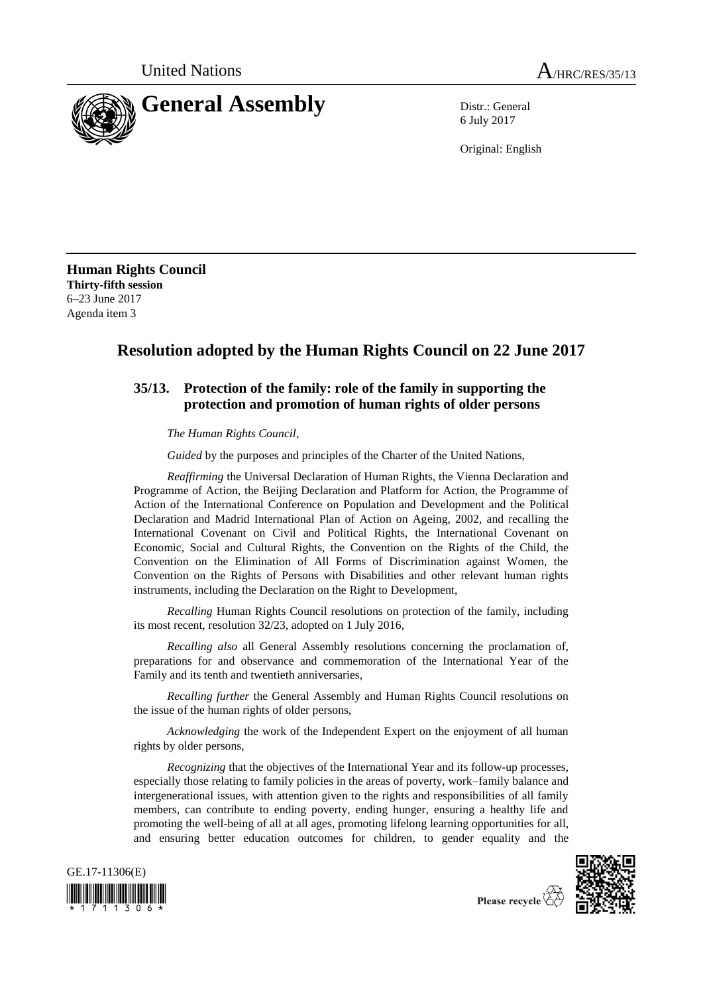

6 July 2017

Original: English

**Human Rights Council Thirty-fifth session** 6–23 June 2017 Agenda item 3

## **Resolution adopted by the Human Rights Council on 22 June 2017**

## **35/13. Protection of the family: role of the family in supporting the protection and promotion of human rights of older persons**

*The Human Rights Council*,

*Guided* by the purposes and principles of the Charter of the United Nations,

*Reaffirming* the Universal Declaration of Human Rights, the Vienna Declaration and Programme of Action, the Beijing Declaration and Platform for Action, the Programme of Action of the International Conference on Population and Development and the Political Declaration and Madrid International Plan of Action on Ageing, 2002, and recalling the International Covenant on Civil and Political Rights, the International Covenant on Economic, Social and Cultural Rights, the Convention on the Rights of the Child, the Convention on the Elimination of All Forms of Discrimination against Women, the Convention on the Rights of Persons with Disabilities and other relevant human rights instruments, including the Declaration on the Right to Development,

*Recalling* Human Rights Council resolutions on protection of the family, including its most recent, resolution 32/23, adopted on 1 July 2016,

*Recalling also* all General Assembly resolutions concerning the proclamation of, preparations for and observance and commemoration of the International Year of the Family and its tenth and twentieth anniversaries,

*Recalling further* the General Assembly and Human Rights Council resolutions on the issue of the human rights of older persons,

*Acknowledging* the work of the Independent Expert on the enjoyment of all human rights by older persons,

*Recognizing* that the objectives of the International Year and its follow-up processes, especially those relating to family policies in the areas of poverty, work–family balance and intergenerational issues, with attention given to the rights and responsibilities of all family members, can contribute to ending poverty, ending hunger, ensuring a healthy life and promoting the well-being of all at all ages, promoting lifelong learning opportunities for all, and ensuring better education outcomes for children, to gender equality and the



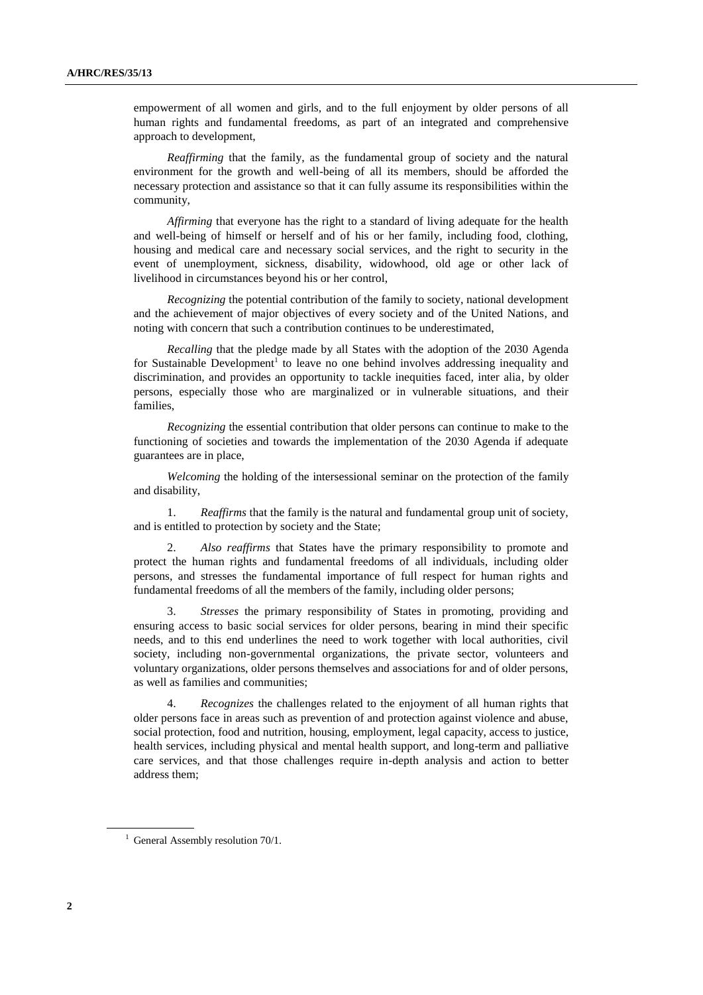empowerment of all women and girls, and to the full enjoyment by older persons of all human rights and fundamental freedoms, as part of an integrated and comprehensive approach to development,

*Reaffirming* that the family, as the fundamental group of society and the natural environment for the growth and well-being of all its members, should be afforded the necessary protection and assistance so that it can fully assume its responsibilities within the community,

*Affirming* that everyone has the right to a standard of living adequate for the health and well-being of himself or herself and of his or her family, including food, clothing, housing and medical care and necessary social services, and the right to security in the event of unemployment, sickness, disability, widowhood, old age or other lack of livelihood in circumstances beyond his or her control,

*Recognizing* the potential contribution of the family to society, national development and the achievement of major objectives of every society and of the United Nations, and noting with concern that such a contribution continues to be underestimated,

*Recalling* that the pledge made by all States with the adoption of the 2030 Agenda for Sustainable Development<sup>1</sup> to leave no one behind involves addressing inequality and discrimination, and provides an opportunity to tackle inequities faced, inter alia, by older persons, especially those who are marginalized or in vulnerable situations, and their families,

*Recognizing* the essential contribution that older persons can continue to make to the functioning of societies and towards the implementation of the 2030 Agenda if adequate guarantees are in place,

*Welcoming* the holding of the intersessional seminar on the protection of the family and disability,

1. *Reaffirms* that the family is the natural and fundamental group unit of society, and is entitled to protection by society and the State;

2. *Also reaffirms* that States have the primary responsibility to promote and protect the human rights and fundamental freedoms of all individuals, including older persons, and stresses the fundamental importance of full respect for human rights and fundamental freedoms of all the members of the family, including older persons;

3. *Stresses* the primary responsibility of States in promoting, providing and ensuring access to basic social services for older persons, bearing in mind their specific needs, and to this end underlines the need to work together with local authorities, civil society, including non-governmental organizations, the private sector, volunteers and voluntary organizations, older persons themselves and associations for and of older persons, as well as families and communities;

4. *Recognizes* the challenges related to the enjoyment of all human rights that older persons face in areas such as prevention of and protection against violence and abuse, social protection, food and nutrition, housing, employment, legal capacity, access to justice, health services, including physical and mental health support, and long-term and palliative care services, and that those challenges require in-depth analysis and action to better address them;

 $1$  General Assembly resolution 70/1.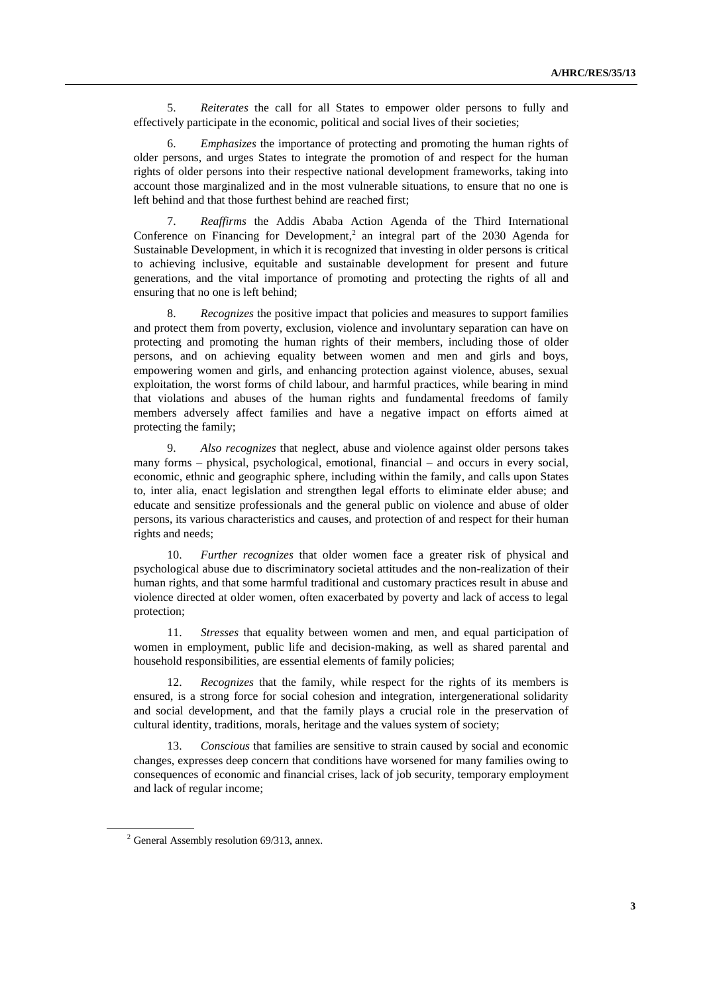5. *Reiterates* the call for all States to empower older persons to fully and effectively participate in the economic, political and social lives of their societies;

6. *Emphasizes* the importance of protecting and promoting the human rights of older persons, and urges States to integrate the promotion of and respect for the human rights of older persons into their respective national development frameworks, taking into account those marginalized and in the most vulnerable situations, to ensure that no one is left behind and that those furthest behind are reached first;

7. *Reaffirms* the Addis Ababa Action Agenda of the Third International Conference on Financing for Development,<sup>2</sup> an integral part of the 2030 Agenda for Sustainable Development, in which it is recognized that investing in older persons is critical to achieving inclusive, equitable and sustainable development for present and future generations, and the vital importance of promoting and protecting the rights of all and ensuring that no one is left behind;

8. *Recognizes* the positive impact that policies and measures to support families and protect them from poverty, exclusion, violence and involuntary separation can have on protecting and promoting the human rights of their members, including those of older persons, and on achieving equality between women and men and girls and boys, empowering women and girls, and enhancing protection against violence, abuses, sexual exploitation, the worst forms of child labour, and harmful practices, while bearing in mind that violations and abuses of the human rights and fundamental freedoms of family members adversely affect families and have a negative impact on efforts aimed at protecting the family;

9. *Also recognizes* that neglect, abuse and violence against older persons takes many forms – physical, psychological, emotional, financial – and occurs in every social, economic, ethnic and geographic sphere, including within the family, and calls upon States to, inter alia, enact legislation and strengthen legal efforts to eliminate elder abuse; and educate and sensitize professionals and the general public on violence and abuse of older persons, its various characteristics and causes, and protection of and respect for their human rights and needs;

10. *Further recognizes* that older women face a greater risk of physical and psychological abuse due to discriminatory societal attitudes and the non-realization of their human rights, and that some harmful traditional and customary practices result in abuse and violence directed at older women, often exacerbated by poverty and lack of access to legal protection;

11. *Stresses* that equality between women and men, and equal participation of women in employment, public life and decision-making, as well as shared parental and household responsibilities, are essential elements of family policies;

12. *Recognizes* that the family, while respect for the rights of its members is ensured, is a strong force for social cohesion and integration, intergenerational solidarity and social development, and that the family plays a crucial role in the preservation of cultural identity, traditions, morals, heritage and the values system of society;

13. *Conscious* that families are sensitive to strain caused by social and economic changes, expresses deep concern that conditions have worsened for many families owing to consequences of economic and financial crises, lack of job security, temporary employment and lack of regular income;

 $2$  General Assembly resolution 69/313, annex.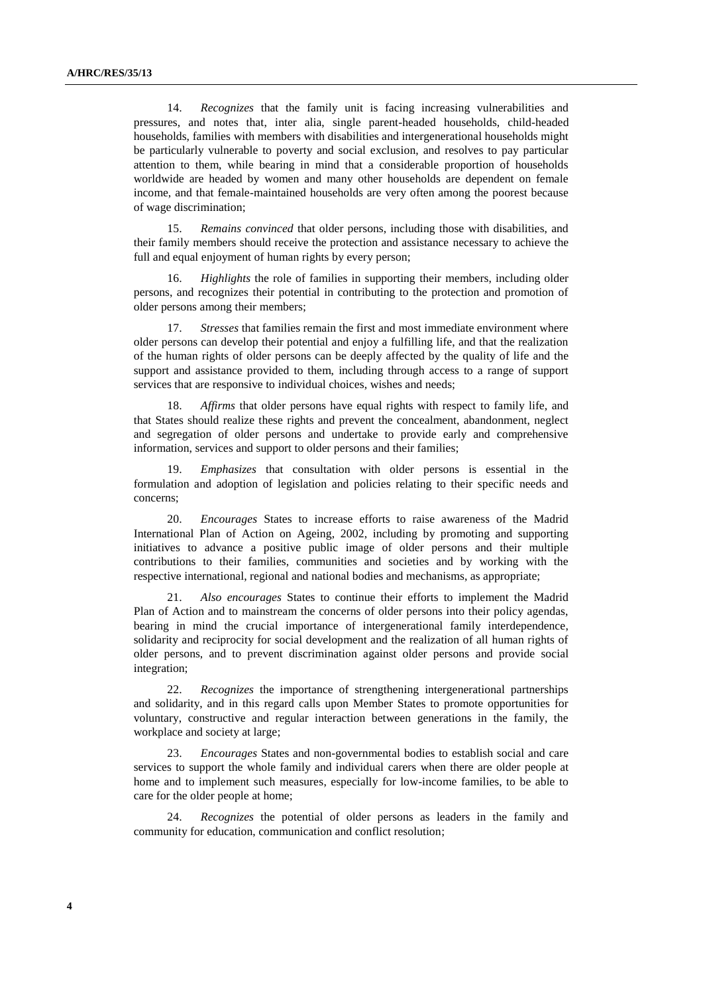14. *Recognizes* that the family unit is facing increasing vulnerabilities and pressures, and notes that, inter alia, single parent-headed households, child-headed households, families with members with disabilities and intergenerational households might be particularly vulnerable to poverty and social exclusion, and resolves to pay particular attention to them, while bearing in mind that a considerable proportion of households worldwide are headed by women and many other households are dependent on female income, and that female-maintained households are very often among the poorest because of wage discrimination;

15. *Remains convinced* that older persons, including those with disabilities, and their family members should receive the protection and assistance necessary to achieve the full and equal enjoyment of human rights by every person;

16. *Highlights* the role of families in supporting their members, including older persons, and recognizes their potential in contributing to the protection and promotion of older persons among their members;

17. *Stresses* that families remain the first and most immediate environment where older persons can develop their potential and enjoy a fulfilling life, and that the realization of the human rights of older persons can be deeply affected by the quality of life and the support and assistance provided to them, including through access to a range of support services that are responsive to individual choices, wishes and needs;

18. *Affirms* that older persons have equal rights with respect to family life, and that States should realize these rights and prevent the concealment, abandonment, neglect and segregation of older persons and undertake to provide early and comprehensive information, services and support to older persons and their families;

19. *Emphasizes* that consultation with older persons is essential in the formulation and adoption of legislation and policies relating to their specific needs and concerns;

20. *Encourages* States to increase efforts to raise awareness of the Madrid International Plan of Action on Ageing, 2002, including by promoting and supporting initiatives to advance a positive public image of older persons and their multiple contributions to their families, communities and societies and by working with the respective international, regional and national bodies and mechanisms, as appropriate;

21. *Also encourages* States to continue their efforts to implement the Madrid Plan of Action and to mainstream the concerns of older persons into their policy agendas, bearing in mind the crucial importance of intergenerational family interdependence, solidarity and reciprocity for social development and the realization of all human rights of older persons, and to prevent discrimination against older persons and provide social integration;

22. *Recognizes* the importance of strengthening intergenerational partnerships and solidarity, and in this regard calls upon Member States to promote opportunities for voluntary, constructive and regular interaction between generations in the family, the workplace and society at large;

23. *Encourages* States and non-governmental bodies to establish social and care services to support the whole family and individual carers when there are older people at home and to implement such measures, especially for low-income families, to be able to care for the older people at home;

24. *Recognizes* the potential of older persons as leaders in the family and community for education, communication and conflict resolution;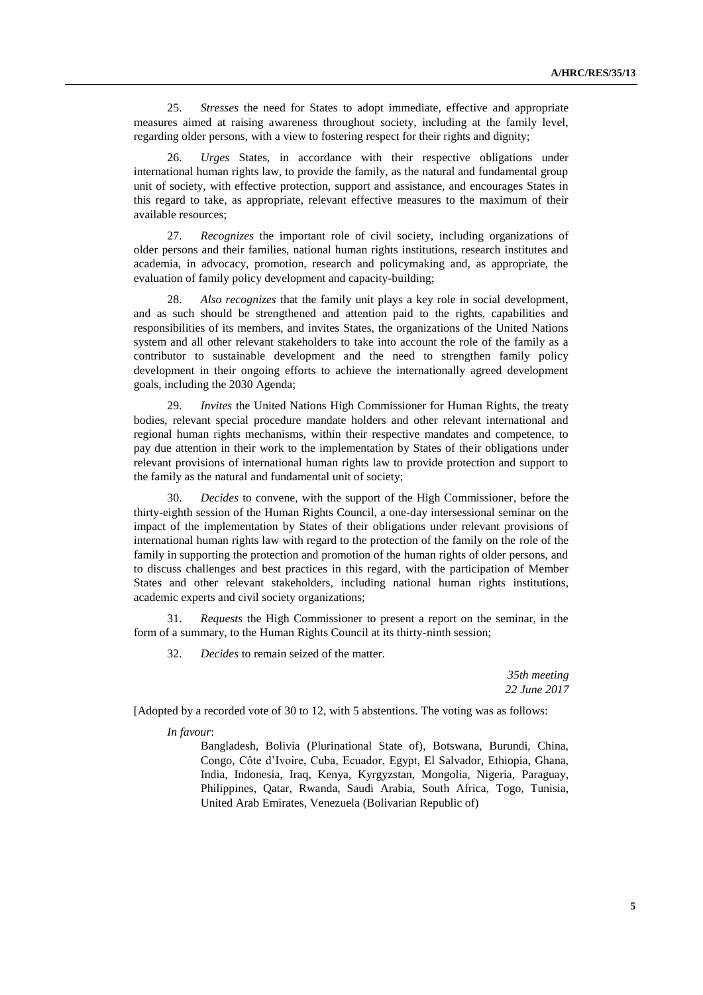25. *Stresses* the need for States to adopt immediate, effective and appropriate measures aimed at raising awareness throughout society, including at the family level, regarding older persons, with a view to fostering respect for their rights and dignity;

26. *Urges* States, in accordance with their respective obligations under international human rights law, to provide the family, as the natural and fundamental group unit of society, with effective protection, support and assistance, and encourages States in this regard to take, as appropriate, relevant effective measures to the maximum of their available resources;

27. *Recognizes* the important role of civil society, including organizations of older persons and their families, national human rights institutions, research institutes and academia, in advocacy, promotion, research and policymaking and, as appropriate, the evaluation of family policy development and capacity-building;

28. *Also recognizes* that the family unit plays a key role in social development, and as such should be strengthened and attention paid to the rights, capabilities and responsibilities of its members, and invites States, the organizations of the United Nations system and all other relevant stakeholders to take into account the role of the family as a contributor to sustainable development and the need to strengthen family policy development in their ongoing efforts to achieve the internationally agreed development goals, including the 2030 Agenda;

29. *Invites* the United Nations High Commissioner for Human Rights, the treaty bodies, relevant special procedure mandate holders and other relevant international and regional human rights mechanisms, within their respective mandates and competence, to pay due attention in their work to the implementation by States of their obligations under relevant provisions of international human rights law to provide protection and support to the family as the natural and fundamental unit of society;

30. *Decides* to convene, with the support of the High Commissioner, before the thirty-eighth session of the Human Rights Council, a one-day intersessional seminar on the impact of the implementation by States of their obligations under relevant provisions of international human rights law with regard to the protection of the family on the role of the family in supporting the protection and promotion of the human rights of older persons, and to discuss challenges and best practices in this regard, with the participation of Member States and other relevant stakeholders, including national human rights institutions, academic experts and civil society organizations;

31. *Requests* the High Commissioner to present a report on the seminar, in the form of a summary, to the Human Rights Council at its thirty-ninth session;

32. *Decides* to remain seized of the matter.

*35th meeting 22 June 2017*

[Adopted by a recorded vote of 30 to 12, with 5 abstentions. The voting was as follows:

## *In favour*:

Bangladesh, Bolivia (Plurinational State of), Botswana, Burundi, China, Congo, Côte d'Ivoire, Cuba, Ecuador, Egypt, El Salvador, Ethiopia, Ghana, India, Indonesia, Iraq, Kenya, Kyrgyzstan, Mongolia, Nigeria, Paraguay, Philippines, Qatar, Rwanda, Saudi Arabia, South Africa, Togo, Tunisia, United Arab Emirates, Venezuela (Bolivarian Republic of)